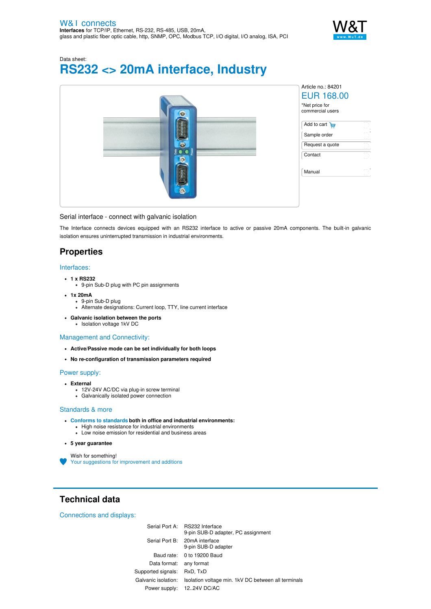

Data sheet:

# **RS232 <> 20mA interface, Industry**



## Serial interface - connect with galvanic isolation

The Interface connects devices equipped with an RS232 interface to active or passive 20mA components. The built-in galvanic isolation ensures uninterrupted transmission in industrial environments.

# **Properties**

### Interfaces:

- **1 x RS232**
	- 9-pin Sub-D plug with PC pin assignments
- **1x 20mA**
	- 9-pin Sub-D plug Alternate designations: Current loop, TTY, line current interface
	-
- **Galvanic isolation between the ports** Isolation voltage 1kV DC

# Management and Connectivity:

- **Active/Passive mode can be set individually for both loops**
- **No re-configuration of transmission parameters required**

### Power supply:

- **External**
	- 12V-24V AC/DC via plug-in screw terminal
	- Galvanically isolated power connection

## Standards & more

- **Conforms to [standards](https://www.wut.de/download/ce/e-84201-10-rdus-000.pdf) both in office and industrial environments:**
	- High noise resistance for industrial environments
	- Low noise emission for residential and business areas

### **5 year guarantee**

Wish for something! Your suggestions for [improvement](https://www.wut.de/e-wwwww-ws-orus-000.php?ArticleNr=84201) and additions

# **Technical data**

Connections and displays:

Serial Port A: RS232 Interface 9-pin SUB-D adapter, PC assignment Serial Port B: 20mA interface 9-pin SUB-D adapter Baud rate: 0 to 19200 Baud Data format: any format Supported signals: RxD, TxD Galvanic isolation: Isolation voltage min. 1kV DC between all terminals Power supply: 12..24V DC/AC